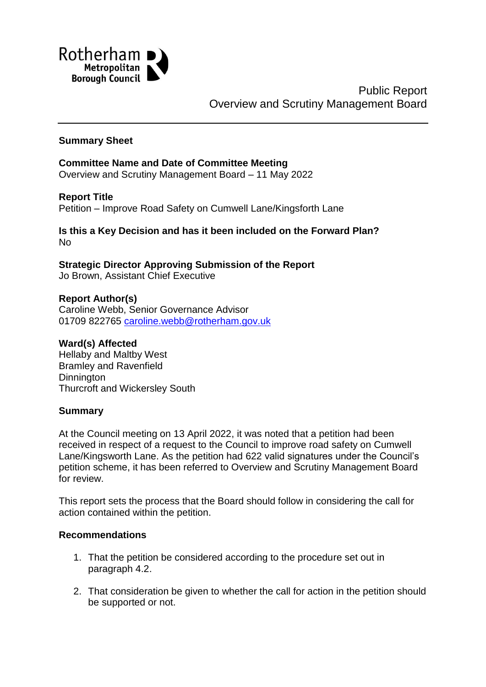

Public Report Overview and Scrutiny Management Board

#### **Summary Sheet**

### **Committee Name and Date of Committee Meeting** Overview and Scrutiny Management Board – 11 May 2022

**Report Title** Petition – Improve Road Safety on Cumwell Lane/Kingsforth Lane

**Is this a Key Decision and has it been included on the Forward Plan?** No

**Strategic Director Approving Submission of the Report** Jo Brown, Assistant Chief Executive

#### **Report Author(s)**

Caroline Webb, Senior Governance Advisor 01709 822765 [caroline.webb@rotherham.gov.uk](mailto:caroline.webb@rotherham.gov.uk)

#### **Ward(s) Affected**

Hellaby and Maltby West Bramley and Ravenfield **Dinnington** Thurcroft and Wickersley South

#### **Summary**

At the Council meeting on 13 April 2022, it was noted that a petition had been received in respect of a request to the Council to improve road safety on Cumwell Lane/Kingsworth Lane. As the petition had 622 valid signatures under the Council's petition scheme, it has been referred to Overview and Scrutiny Management Board for review.

This report sets the process that the Board should follow in considering the call for action contained within the petition.

### **Recommendations**

- 1. That the petition be considered according to the procedure set out in paragraph 4.2.
- 2. That consideration be given to whether the call for action in the petition should be supported or not.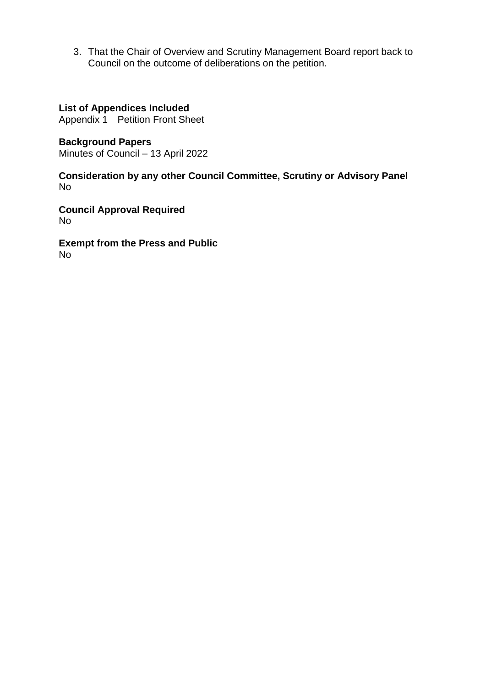3. That the Chair of Overview and Scrutiny Management Board report back to Council on the outcome of deliberations on the petition.

### **List of Appendices Included**

Appendix 1 Petition Front Sheet

**Background Papers** Minutes of Council – 13 April 2022

**Consideration by any other Council Committee, Scrutiny or Advisory Panel** No

**Council Approval Required** No

**Exempt from the Press and Public** No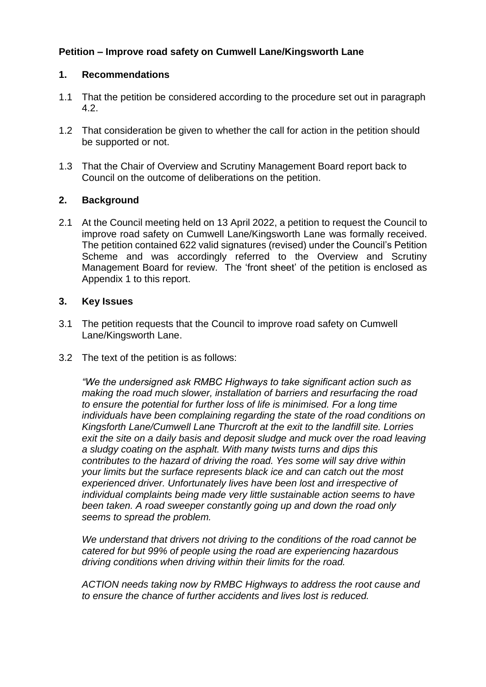# **Petition – Improve road safety on Cumwell Lane/Kingsworth Lane**

### **1. Recommendations**

- 1.1 That the petition be considered according to the procedure set out in paragraph 4.2.
- 1.2 That consideration be given to whether the call for action in the petition should be supported or not.
- 1.3 That the Chair of Overview and Scrutiny Management Board report back to Council on the outcome of deliberations on the petition.

### **2. Background**

2.1 At the Council meeting held on 13 April 2022, a petition to request the Council to improve road safety on Cumwell Lane/Kingsworth Lane was formally received. The petition contained 622 valid signatures (revised) under the Council's Petition Scheme and was accordingly referred to the Overview and Scrutiny Management Board for review. The 'front sheet' of the petition is enclosed as Appendix 1 to this report.

### **3. Key Issues**

- 3.1 The petition requests that the Council to improve road safety on Cumwell Lane/Kingsworth Lane.
- 3.2 The text of the petition is as follows:

*"We the undersigned ask RMBC Highways to take significant action such as making the road much slower, installation of barriers and resurfacing the road to ensure the potential for further loss of life is minimised. For a long time individuals have been complaining regarding the state of the road conditions on Kingsforth Lane/Cumwell Lane Thurcroft at the exit to the landfill site. Lorries*  exit the site on a daily basis and deposit sludge and muck over the road leaving *a sludgy coating on the asphalt. With many twists turns and dips this contributes to the hazard of driving the road. Yes some will say drive within your limits but the surface represents black ice and can catch out the most experienced driver. Unfortunately lives have been lost and irrespective of individual complaints being made very little sustainable action seems to have been taken. A road sweeper constantly going up and down the road only seems to spread the problem.*

*We understand that drivers not driving to the conditions of the road cannot be catered for but 99% of people using the road are experiencing hazardous driving conditions when driving within their limits for the road.*

*ACTION needs taking now by RMBC Highways to address the root cause and to ensure the chance of further accidents and lives lost is reduced.*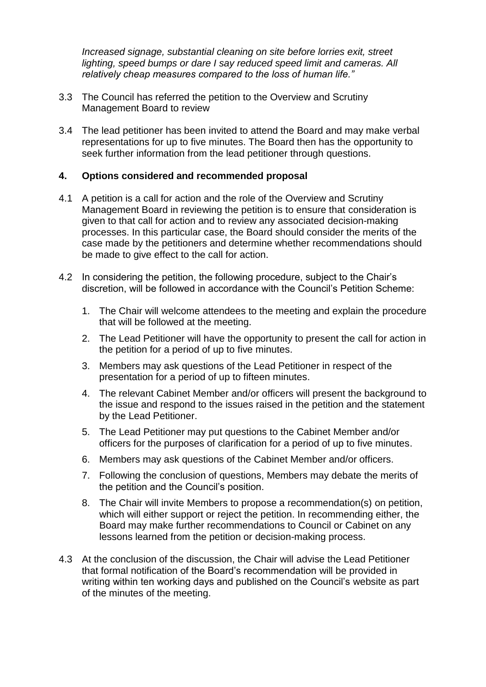*Increased signage, substantial cleaning on site before lorries exit, street lighting, speed bumps or dare I say reduced speed limit and cameras. All relatively cheap measures compared to the loss of human life."*

- 3.3 The Council has referred the petition to the Overview and Scrutiny Management Board to review
- 3.4 The lead petitioner has been invited to attend the Board and may make verbal representations for up to five minutes. The Board then has the opportunity to seek further information from the lead petitioner through questions.

### **4. Options considered and recommended proposal**

- 4.1 A petition is a call for action and the role of the Overview and Scrutiny Management Board in reviewing the petition is to ensure that consideration is given to that call for action and to review any associated decision-making processes. In this particular case, the Board should consider the merits of the case made by the petitioners and determine whether recommendations should be made to give effect to the call for action.
- 4.2 In considering the petition, the following procedure, subject to the Chair's discretion, will be followed in accordance with the Council's Petition Scheme:
	- 1. The Chair will welcome attendees to the meeting and explain the procedure that will be followed at the meeting.
	- 2. The Lead Petitioner will have the opportunity to present the call for action in the petition for a period of up to five minutes.
	- 3. Members may ask questions of the Lead Petitioner in respect of the presentation for a period of up to fifteen minutes.
	- 4. The relevant Cabinet Member and/or officers will present the background to the issue and respond to the issues raised in the petition and the statement by the Lead Petitioner.
	- 5. The Lead Petitioner may put questions to the Cabinet Member and/or officers for the purposes of clarification for a period of up to five minutes.
	- 6. Members may ask questions of the Cabinet Member and/or officers.
	- 7. Following the conclusion of questions, Members may debate the merits of the petition and the Council's position.
	- 8. The Chair will invite Members to propose a recommendation(s) on petition, which will either support or reject the petition. In recommending either, the Board may make further recommendations to Council or Cabinet on any lessons learned from the petition or decision-making process.
- 4.3 At the conclusion of the discussion, the Chair will advise the Lead Petitioner that formal notification of the Board's recommendation will be provided in writing within ten working days and published on the Council's website as part of the minutes of the meeting.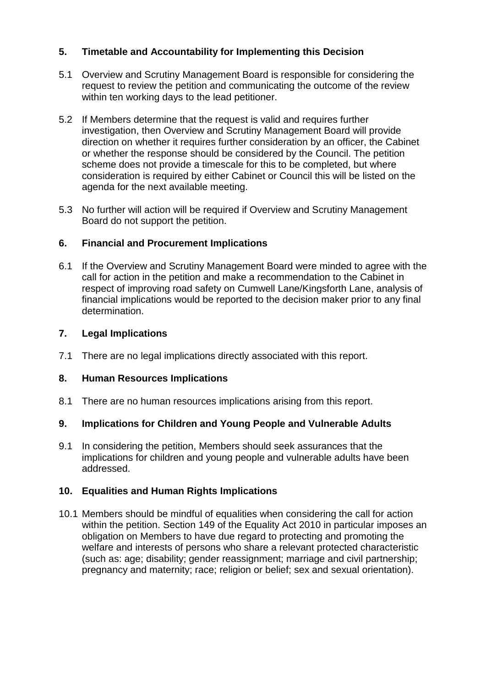# **5. Timetable and Accountability for Implementing this Decision**

- 5.1 Overview and Scrutiny Management Board is responsible for considering the request to review the petition and communicating the outcome of the review within ten working days to the lead petitioner.
- 5.2 If Members determine that the request is valid and requires further investigation, then Overview and Scrutiny Management Board will provide direction on whether it requires further consideration by an officer, the Cabinet or whether the response should be considered by the Council. The petition scheme does not provide a timescale for this to be completed, but where consideration is required by either Cabinet or Council this will be listed on the agenda for the next available meeting.
- 5.3 No further will action will be required if Overview and Scrutiny Management Board do not support the petition.

## **6. Financial and Procurement Implications**

6.1 If the Overview and Scrutiny Management Board were minded to agree with the call for action in the petition and make a recommendation to the Cabinet in respect of improving road safety on Cumwell Lane/Kingsforth Lane, analysis of financial implications would be reported to the decision maker prior to any final determination.

## **7. Legal Implications**

7.1 There are no legal implications directly associated with this report.

## **8. Human Resources Implications**

8.1 There are no human resources implications arising from this report.

## **9. Implications for Children and Young People and Vulnerable Adults**

9.1 In considering the petition, Members should seek assurances that the implications for children and young people and vulnerable adults have been addressed.

## **10. Equalities and Human Rights Implications**

10.1 Members should be mindful of equalities when considering the call for action within the petition. Section 149 of the Equality Act 2010 in particular imposes an obligation on Members to have due regard to protecting and promoting the welfare and interests of persons who share a relevant protected characteristic (such as: age; disability; gender reassignment; marriage and civil partnership; pregnancy and maternity; race; religion or belief; sex and sexual orientation).